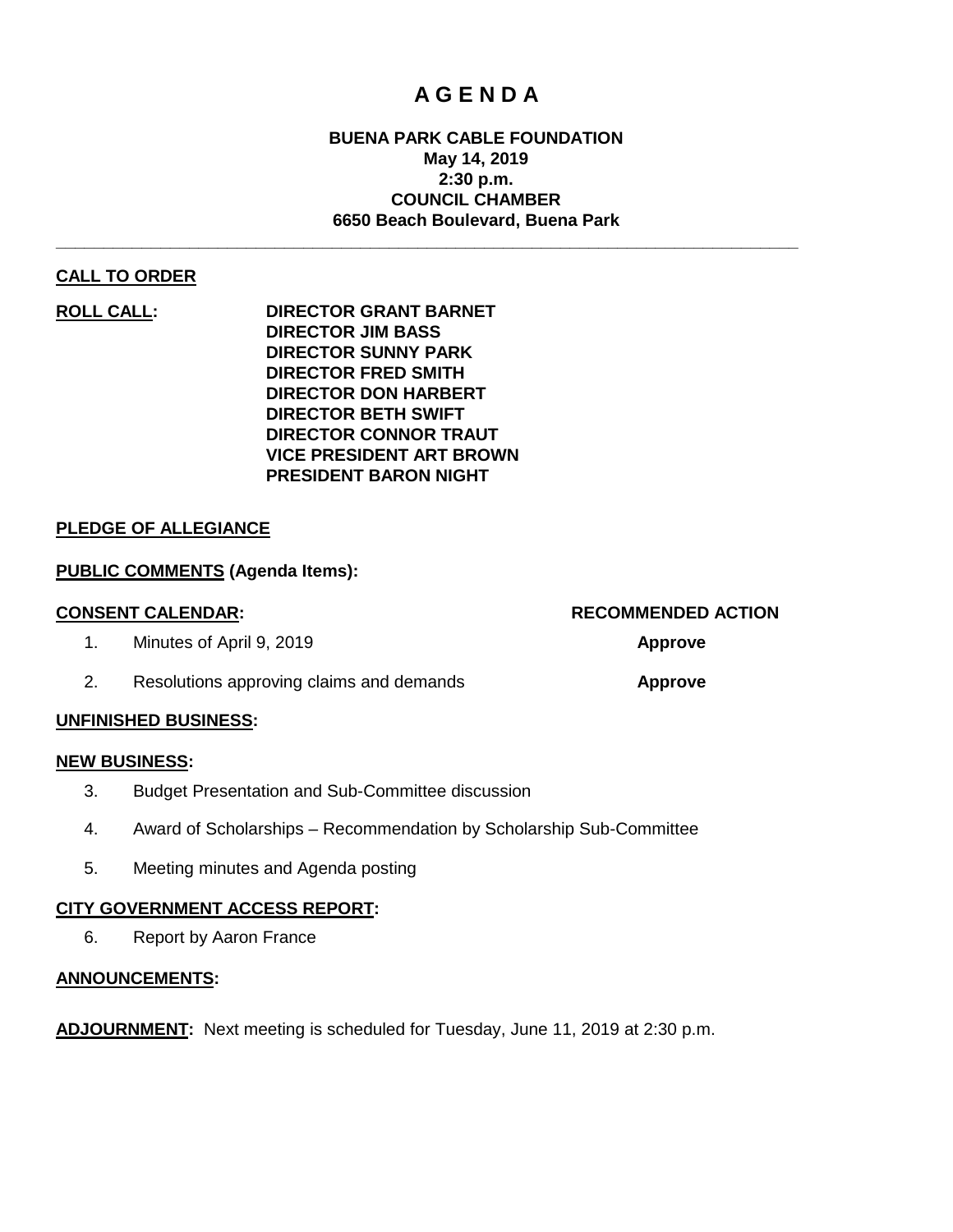# **A G E N D A**

## **BUENA PARK CABLE FOUNDATION May 14, 2019 2:30 p.m. COUNCIL CHAMBER 6650 Beach Boulevard, Buena Park**

**\_\_\_\_\_\_\_\_\_\_\_\_\_\_\_\_\_\_\_\_\_\_\_\_\_\_\_\_\_\_\_\_\_\_\_\_\_\_\_\_\_\_\_\_\_\_\_\_\_\_\_\_\_\_\_\_\_\_\_\_\_\_\_\_\_\_\_\_\_\_\_\_\_\_\_\_\_\_**

## **CALL TO ORDER**

**ROLL CALL: DIRECTOR GRANT BARNET DIRECTOR JIM BASS DIRECTOR SUNNY PARK DIRECTOR FRED SMITH DIRECTOR DON HARBERT DIRECTOR BETH SWIFT DIRECTOR CONNOR TRAUT VICE PRESIDENT ART BROWN PRESIDENT BARON NIGHT**

## **PLEDGE OF ALLEGIANCE**

## **PUBLIC COMMENTS (Agenda Items):**

| <b>CONSENT CALENDAR:</b>                 | <b>RECOMMENDED ACTION</b> |
|------------------------------------------|---------------------------|
| Minutes of April 9, 2019                 | <b>Approve</b>            |
| Resolutions approving claims and demands | Approve                   |

#### **UNFINISHED BUSINESS:**

#### **NEW BUSINESS:**

- 3. Budget Presentation and Sub-Committee discussion
- 4. Award of Scholarships Recommendation by Scholarship Sub-Committee
- 5. Meeting minutes and Agenda posting

#### **CITY GOVERNMENT ACCESS REPORT:**

6. Report by Aaron France

## **ANNOUNCEMENTS:**

**ADJOURNMENT:** Next meeting is scheduled for Tuesday, June 11, 2019 at 2:30 p.m.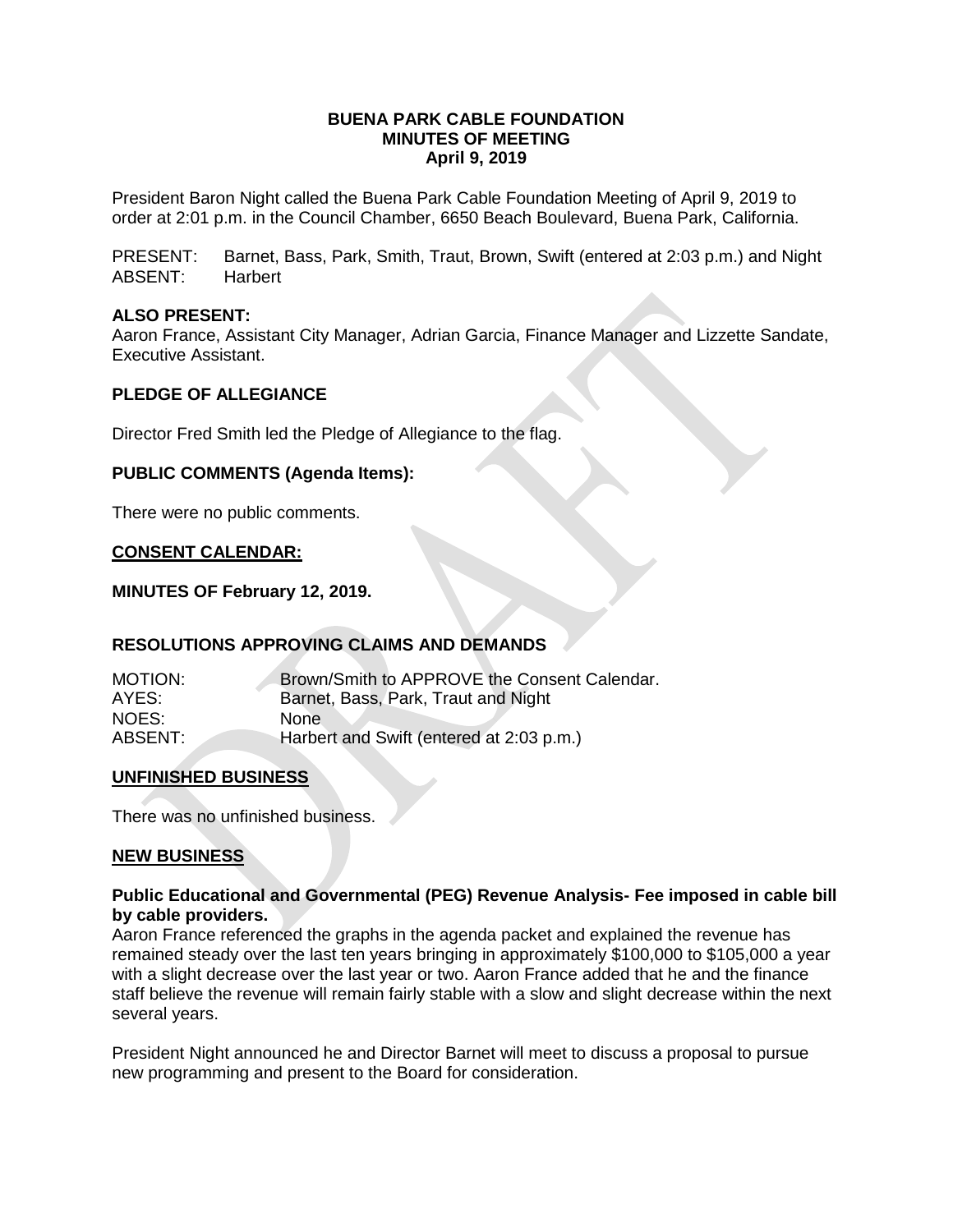#### **BUENA PARK CABLE FOUNDATION MINUTES OF MEETING April 9, 2019**

President Baron Night called the Buena Park Cable Foundation Meeting of April 9, 2019 to order at 2:01 p.m. in the Council Chamber, 6650 Beach Boulevard, Buena Park, California.

PRESENT: Barnet, Bass, Park, Smith, Traut, Brown, Swift (entered at 2:03 p.m.) and Night ABSENT: Harbert

## **ALSO PRESENT:**

Aaron France, Assistant City Manager, Adrian Garcia, Finance Manager and Lizzette Sandate, Executive Assistant.

## **PLEDGE OF ALLEGIANCE**

Director Fred Smith led the Pledge of Allegiance to the flag.

#### **PUBLIC COMMENTS (Agenda Items):**

There were no public comments.

#### **CONSENT CALENDAR:**

#### **MINUTES OF February 12, 2019.**

## **RESOLUTIONS APPROVING CLAIMS AND DEMANDS**

| AYES:                                               | <b>MOTION:</b> | Brown/Smith to APPROVE the Consent Calendar. |
|-----------------------------------------------------|----------------|----------------------------------------------|
|                                                     |                | Barnet, Bass, Park, Traut and Night          |
| NOES:<br><b>None</b>                                |                |                                              |
| ABSENT:<br>Harbert and Swift (entered at 2:03 p.m.) |                |                                              |

#### **UNFINISHED BUSINESS**

There was no unfinished business.

#### **NEW BUSINESS**

#### **Public Educational and Governmental (PEG) Revenue Analysis- Fee imposed in cable bill by cable providers.**

Aaron France referenced the graphs in the agenda packet and explained the revenue has remained steady over the last ten years bringing in approximately \$100,000 to \$105,000 a year with a slight decrease over the last year or two. Aaron France added that he and the finance staff believe the revenue will remain fairly stable with a slow and slight decrease within the next several years.

President Night announced he and Director Barnet will meet to discuss a proposal to pursue new programming and present to the Board for consideration.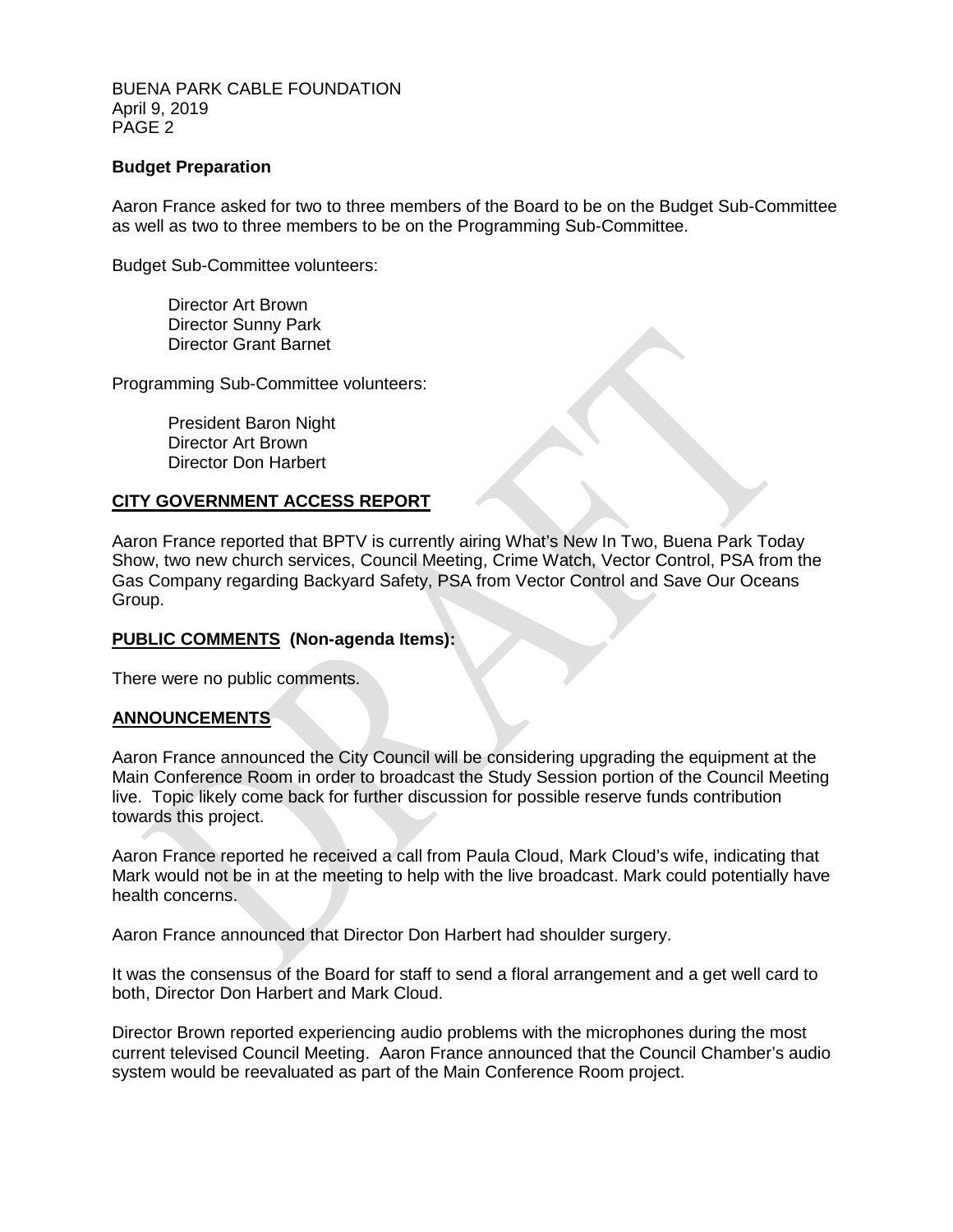BUENA PARK CABLE FOUNDATION April 9, 2019 PAGE 2

## **Budget Preparation**

Aaron France asked for two to three members of the Board to be on the Budget Sub-Committee as well as two to three members to be on the Programming Sub-Committee.

Budget Sub-Committee volunteers:

Director Art Brown Director Sunny Park Director Grant Barnet

Programming Sub-Committee volunteers:

President Baron Night Director Art Brown Director Don Harbert

#### **CITY GOVERNMENT ACCESS REPORT**

Aaron France reported that BPTV is currently airing What's New In Two, Buena Park Today Show, two new church services, Council Meeting, Crime Watch, Vector Control, PSA from the Gas Company regarding Backyard Safety, PSA from Vector Control and Save Our Oceans Group.

#### **PUBLIC COMMENTS (Non-agenda Items):**

There were no public comments.

#### **ANNOUNCEMENTS**

Aaron France announced the City Council will be considering upgrading the equipment at the Main Conference Room in order to broadcast the Study Session portion of the Council Meeting live. Topic likely come back for further discussion for possible reserve funds contribution towards this project.

Aaron France reported he received a call from Paula Cloud, Mark Cloud's wife, indicating that Mark would not be in at the meeting to help with the live broadcast. Mark could potentially have health concerns.

Aaron France announced that Director Don Harbert had shoulder surgery.

It was the consensus of the Board for staff to send a floral arrangement and a get well card to both, Director Don Harbert and Mark Cloud.

Director Brown reported experiencing audio problems with the microphones during the most current televised Council Meeting. Aaron France announced that the Council Chamber's audio system would be reevaluated as part of the Main Conference Room project.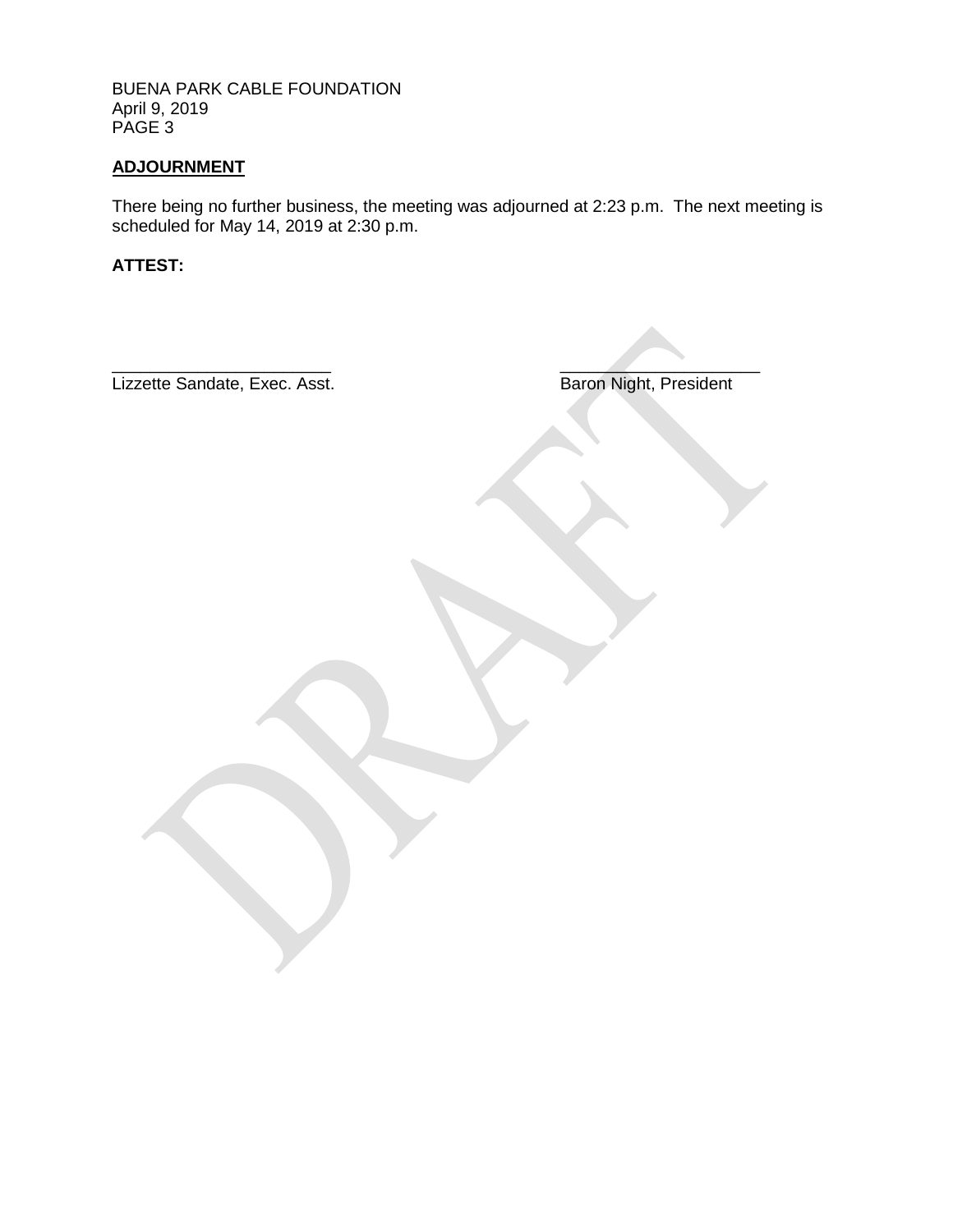BUENA PARK CABLE FOUNDATION April 9, 2019 PAGE<sup>3</sup>

## **ADJOURNMENT**

There being no further business, the meeting was adjourned at 2:23 p.m. The next meeting is scheduled for May 14, 2019 at 2:30 p.m.

**ATTEST:**

Lizzette Sandate, Exec. Asst.

Baron Night, President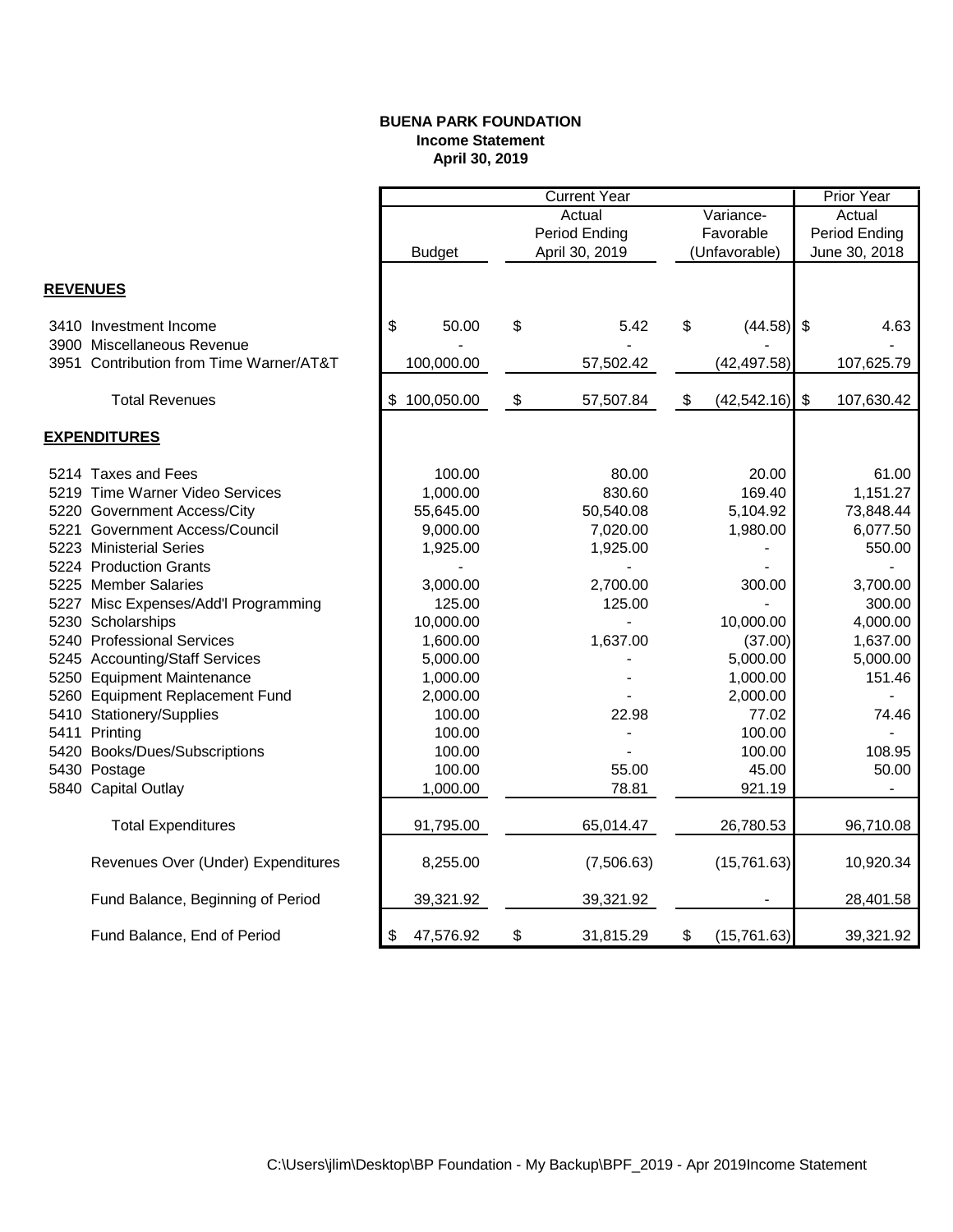#### **BUENA PARK FOUNDATION Income Statement April 30, 2019**

|                 |                                         |                  | <b>Current Year</b>       |                                   |    |               |                         | <b>Prior Year</b> |  |
|-----------------|-----------------------------------------|------------------|---------------------------|-----------------------------------|----|---------------|-------------------------|-------------------|--|
|                 |                                         |                  |                           | Actual<br>Variance-               |    | Actual        |                         |                   |  |
|                 |                                         |                  |                           | <b>Period Ending</b><br>Favorable |    |               | Period Ending           |                   |  |
|                 |                                         | <b>Budget</b>    |                           | April 30, 2019                    |    | (Unfavorable) |                         | June 30, 2018     |  |
|                 |                                         |                  |                           |                                   |    |               |                         |                   |  |
| <b>REVENUES</b> |                                         |                  |                           |                                   |    |               |                         |                   |  |
|                 | 3410 Investment Income                  | \$<br>50.00      | \$                        | 5.42                              | \$ | (44.58)       | $\sqrt[6]{3}$           | 4.63              |  |
|                 | 3900 Miscellaneous Revenue              |                  |                           |                                   |    |               |                         |                   |  |
|                 | 3951 Contribution from Time Warner/AT&T | 100,000.00       |                           | 57,502.42                         |    | (42, 497.58)  |                         | 107,625.79        |  |
|                 | <b>Total Revenues</b>                   | \$<br>100,050.00 | $\boldsymbol{\mathsf{S}}$ | 57,507.84                         | \$ | (42, 542.16)  | $\sqrt[6]{\frac{1}{2}}$ | 107,630.42        |  |
|                 | <b>EXPENDITURES</b>                     |                  |                           |                                   |    |               |                         |                   |  |
|                 | 5214 Taxes and Fees                     | 100.00           |                           | 80.00                             |    | 20.00         |                         | 61.00             |  |
|                 | 5219 Time Warner Video Services         | 1,000.00         |                           | 830.60                            |    | 169.40        |                         | 1,151.27          |  |
|                 | 5220 Government Access/City             | 55,645.00        |                           | 50,540.08                         |    | 5,104.92      |                         | 73,848.44         |  |
|                 | 5221 Government Access/Council          | 9,000.00         |                           | 7,020.00                          |    | 1,980.00      |                         | 6,077.50          |  |
|                 | 5223 Ministerial Series                 | 1,925.00         |                           | 1,925.00                          |    |               |                         | 550.00            |  |
|                 | 5224 Production Grants                  |                  |                           |                                   |    |               |                         |                   |  |
|                 | 5225 Member Salaries                    | 3,000.00         |                           | 2,700.00                          |    | 300.00        |                         | 3,700.00          |  |
|                 | 5227 Misc Expenses/Add'l Programming    | 125.00           |                           | 125.00                            |    |               |                         | 300.00            |  |
|                 | 5230 Scholarships                       | 10,000.00        |                           |                                   |    | 10,000.00     |                         | 4,000.00          |  |
|                 | 5240 Professional Services              | 1,600.00         |                           | 1,637.00                          |    | (37.00)       |                         | 1,637.00          |  |
|                 | 5245 Accounting/Staff Services          | 5,000.00         |                           |                                   |    | 5,000.00      |                         | 5,000.00          |  |
|                 | 5250 Equipment Maintenance              | 1,000.00         |                           |                                   |    | 1,000.00      |                         | 151.46            |  |
|                 | 5260 Equipment Replacement Fund         | 2,000.00         |                           |                                   |    | 2,000.00      |                         |                   |  |
|                 | 5410 Stationery/Supplies                | 100.00           |                           | 22.98                             |    | 77.02         |                         | 74.46             |  |
|                 | 5411 Printing                           | 100.00           |                           |                                   |    | 100.00        |                         |                   |  |
|                 | 5420 Books/Dues/Subscriptions           | 100.00           |                           |                                   |    | 100.00        |                         | 108.95            |  |
|                 | 5430 Postage                            | 100.00           |                           | 55.00                             |    | 45.00         |                         | 50.00             |  |
|                 | 5840 Capital Outlay                     | 1,000.00         |                           | 78.81                             |    | 921.19        |                         |                   |  |
|                 | <b>Total Expenditures</b>               | 91,795.00        |                           | 65,014.47                         |    | 26,780.53     |                         | 96,710.08         |  |
|                 | Revenues Over (Under) Expenditures      | 8,255.00         |                           | (7,506.63)                        |    | (15,761.63)   |                         | 10,920.34         |  |
|                 | Fund Balance, Beginning of Period       | 39,321.92        |                           | 39,321.92                         |    |               |                         | 28,401.58         |  |
|                 | Fund Balance, End of Period             | 47,576.92<br>\$  | \$                        | 31,815.29                         | \$ | (15,761.63)   |                         | 39,321.92         |  |